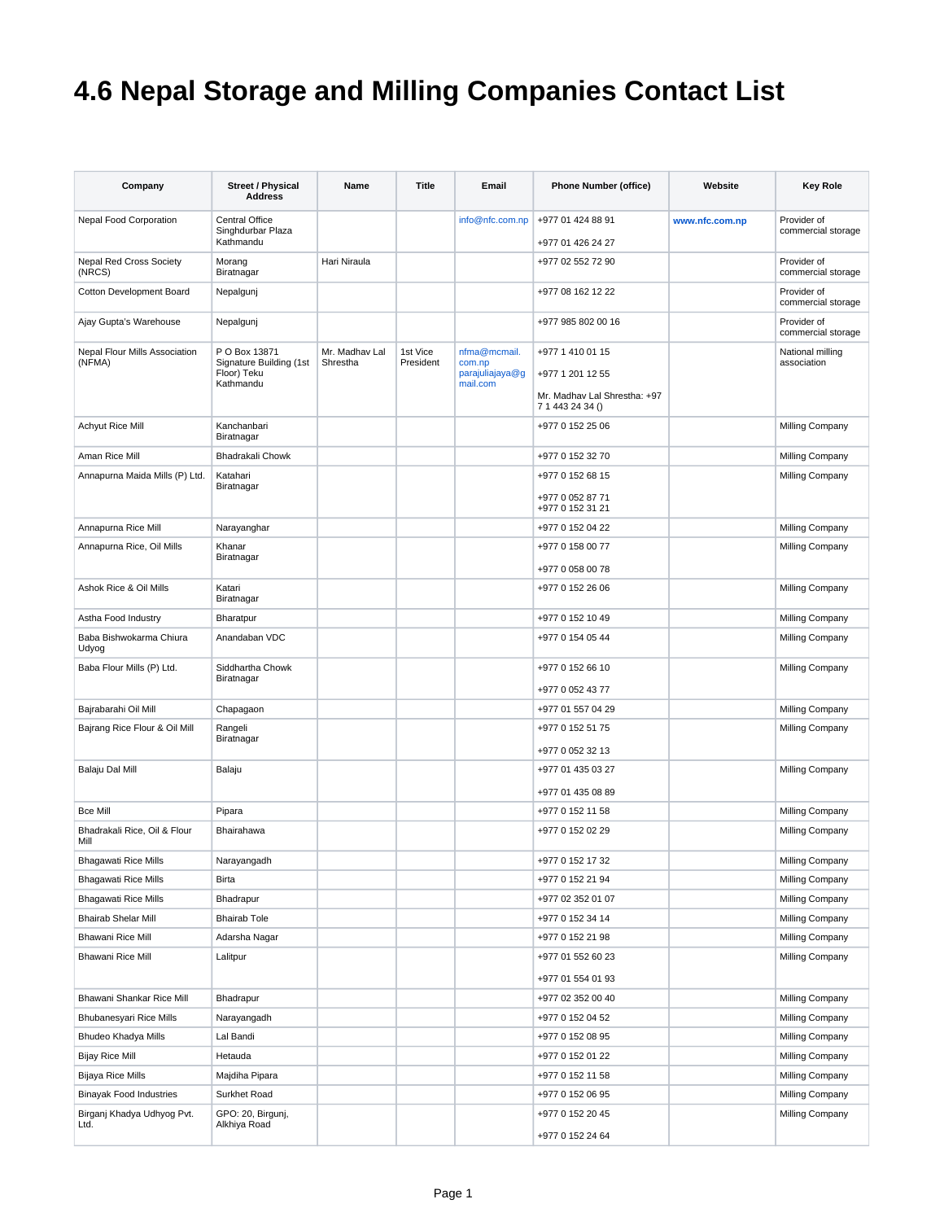## **4.6 Nepal Storage and Milling Companies Contact List**

| Company                                 | <b>Street / Physical</b><br><b>Address</b>                           | Name                       | Title                 | Email                                                 | <b>Phone Number (office)</b>                                                             | Website        | <b>Key Role</b>                   |
|-----------------------------------------|----------------------------------------------------------------------|----------------------------|-----------------------|-------------------------------------------------------|------------------------------------------------------------------------------------------|----------------|-----------------------------------|
| Nepal Food Corporation                  | Central Office<br>Singhdurbar Plaza<br>Kathmandu                     |                            |                       | info@nfc.com.np                                       | +977 01 424 88 91<br>+977 01 426 24 27                                                   | www.nfc.com.np | Provider of<br>commercial storage |
| Nepal Red Cross Society<br>(NRCS)       | Morang<br>Biratnagar                                                 | Hari Niraula               |                       |                                                       | +977 02 552 72 90                                                                        |                | Provider of<br>commercial storage |
| Cotton Development Board                | Nepalgunj                                                            |                            |                       |                                                       | +977 08 162 12 22                                                                        |                | Provider of<br>commercial storage |
| Ajay Gupta's Warehouse                  | Nepalgunj                                                            |                            |                       |                                                       | +977 985 802 00 16                                                                       |                | Provider of<br>commercial storage |
| Nepal Flour Mills Association<br>(NFMA) | P O Box 13871<br>Signature Building (1st<br>Floor) Teku<br>Kathmandu | Mr. Madhav Lal<br>Shrestha | 1st Vice<br>President | nfma@mcmail.<br>com.np<br>parajuliajaya@g<br>mail.com | +977 1 410 01 15<br>+977 1 201 12 55<br>Mr. Madhay Lal Shrestha: +97<br>7 1 443 24 34 () |                | National milling<br>association   |
| Achyut Rice Mill                        | Kanchanbari<br>Biratnagar                                            |                            |                       |                                                       | +977 0 152 25 06                                                                         |                | Milling Company                   |
| Aman Rice Mill                          | Bhadrakali Chowk                                                     |                            |                       |                                                       | +977 0 152 32 70                                                                         |                | Milling Company                   |
| Annapurna Maida Mills (P) Ltd.          | Katahari<br>Biratnagar                                               |                            |                       |                                                       | +977 0 152 68 15<br>+977 0 052 87 71<br>+977 0 152 31 21                                 |                | Milling Company                   |
| Annapurna Rice Mill                     | Narayanghar                                                          |                            |                       |                                                       | +977 0 152 04 22                                                                         |                | Milling Company                   |
| Annapurna Rice, Oil Mills               | Khanar<br>Biratnagar                                                 |                            |                       |                                                       | +977 0 158 00 77<br>+977 0 058 00 78                                                     |                | Milling Company                   |
| Ashok Rice & Oil Mills                  | Katari<br>Biratnagar                                                 |                            |                       |                                                       | +977 0 152 26 06                                                                         |                | Milling Company                   |
| Astha Food Industry                     | Bharatpur                                                            |                            |                       |                                                       | +977 0 152 10 49                                                                         |                | Milling Company                   |
| Baba Bishwokarma Chiura<br>Udyog        | Anandaban VDC                                                        |                            |                       |                                                       | +977 0 154 05 44                                                                         |                | Milling Company                   |
| Baba Flour Mills (P) Ltd.               | Siddhartha Chowk<br>Biratnagar                                       |                            |                       |                                                       | +977 0 152 66 10<br>+977 0 052 43 77                                                     |                | Milling Company                   |
| Bajrabarahi Oil Mill                    | Chapagaon                                                            |                            |                       |                                                       | +977 01 557 04 29                                                                        |                | Milling Company                   |
| Bajrang Rice Flour & Oil Mill           | Rangeli<br>Biratnagar                                                |                            |                       |                                                       | +977 0 152 51 75                                                                         |                | Milling Company                   |
| Balaju Dal Mill                         | Balaju                                                               |                            |                       |                                                       | +977 0 052 32 13<br>+977 01 435 03 27<br>+977 01 435 08 89                               |                | Milling Company                   |
| <b>Bce Mill</b>                         | Pipara                                                               |                            |                       |                                                       | +977 0 152 11 58                                                                         |                | Milling Company                   |
| Bhadrakali Rice, Oil & Flour<br>Mill    | Bhairahawa                                                           |                            |                       |                                                       | +977 0 152 02 29                                                                         |                | Milling Company                   |
| <b>Bhagawati Rice Mills</b>             | Narayangadh                                                          |                            |                       |                                                       | +977 0 152 17 32                                                                         |                | Milling Company                   |
| <b>Bhagawati Rice Mills</b>             | <b>Birta</b>                                                         |                            |                       |                                                       | +977 0 152 21 94                                                                         |                | Milling Company                   |
| <b>Bhagawati Rice Mills</b>             | Bhadrapur                                                            |                            |                       |                                                       | +977 02 352 01 07                                                                        |                | Milling Company                   |
| <b>Bhairab Shelar Mill</b>              | <b>Bhairab Tole</b>                                                  |                            |                       |                                                       | +977 0 152 34 14                                                                         |                | Milling Company                   |
| <b>Bhawani Rice Mill</b>                | Adarsha Nagar                                                        |                            |                       |                                                       | +977 0 152 21 98                                                                         |                | Milling Company                   |
| Bhawani Rice Mill                       | Lalitpur                                                             |                            |                       |                                                       | +977 01 552 60 23<br>+977 01 554 01 93                                                   |                | Milling Company                   |
| Bhawani Shankar Rice Mill               | Bhadrapur                                                            |                            |                       |                                                       | +977 02 352 00 40                                                                        |                | Milling Company                   |
| Bhubanesyari Rice Mills                 | Narayangadh                                                          |                            |                       |                                                       | +977 0 152 04 52                                                                         |                | Milling Company                   |
| Bhudeo Khadya Mills                     | Lal Bandi                                                            |                            |                       |                                                       | +977 0 152 08 95                                                                         |                | Milling Company                   |
| <b>Bijay Rice Mill</b>                  | Hetauda                                                              |                            |                       |                                                       | +977 0 152 01 22                                                                         |                | Milling Company                   |
| Bijaya Rice Mills                       | Majdiha Pipara                                                       |                            |                       |                                                       | +977 0 152 11 58                                                                         |                | Milling Company                   |
| <b>Binayak Food Industries</b>          | Surkhet Road                                                         |                            |                       |                                                       | +977 0 152 06 95                                                                         |                | Milling Company                   |
| Birganj Khadya Udhyog Pvt.              | GPO: 20, Birgunj,                                                    |                            |                       |                                                       | +977 0 152 20 45                                                                         |                | Milling Company                   |
| Ltd.                                    | Alkhiya Road                                                         |                            |                       |                                                       | +977 0 152 24 64                                                                         |                |                                   |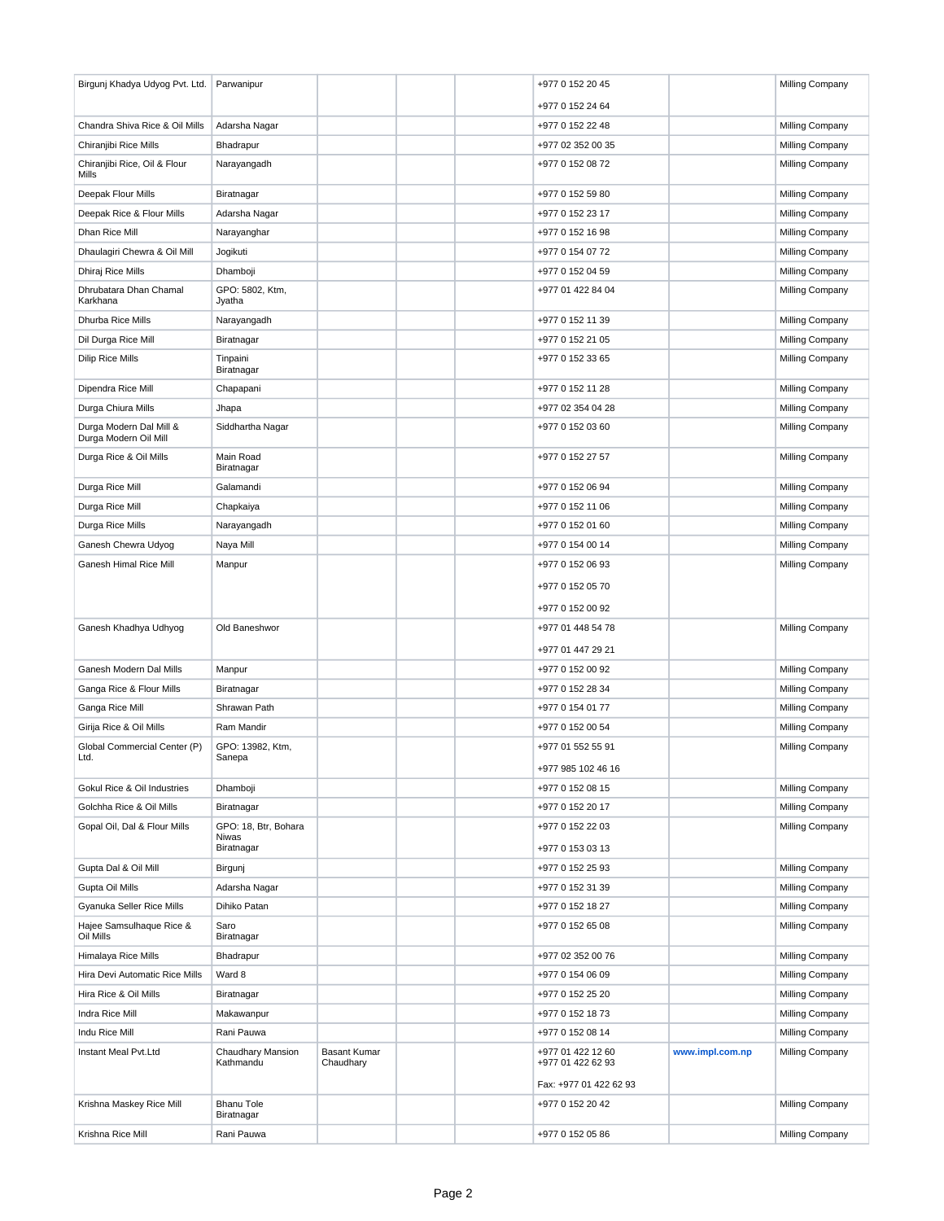| Birgunj Khadya Udyog Pvt. Ltd.                   | Parwanipur                      |                     |  | +977 0 152 20 45                        |                 | Milling Company |
|--------------------------------------------------|---------------------------------|---------------------|--|-----------------------------------------|-----------------|-----------------|
|                                                  |                                 |                     |  | +977 0 152 24 64                        |                 |                 |
| Chandra Shiva Rice & Oil Mills                   | Adarsha Nagar                   |                     |  | +977 0 152 22 48                        |                 | Milling Company |
| Chiranjibi Rice Mills                            | Bhadrapur                       |                     |  | +977 02 352 00 35                       |                 | Milling Company |
| Chiranjibi Rice, Oil & Flour<br>Mills            | Narayangadh                     |                     |  | +977 0 152 08 72                        |                 | Milling Company |
| Deepak Flour Mills                               | Biratnagar                      |                     |  | +977 0 152 59 80                        |                 | Milling Company |
| Deepak Rice & Flour Mills                        | Adarsha Nagar                   |                     |  | +977 0 152 23 17                        |                 | Milling Company |
| Dhan Rice Mill                                   | Narayanghar                     |                     |  | +977 0 152 16 98                        |                 | Milling Company |
| Dhaulagiri Chewra & Oil Mill                     | Jogikuti                        |                     |  | +977 0 154 07 72                        |                 | Milling Company |
| Dhiraj Rice Mills                                | Dhamboji                        |                     |  | +977 0 152 04 59                        |                 | Milling Company |
| Dhrubatara Dhan Chamal<br>Karkhana               | GPO: 5802, Ktm,<br>Jyatha       |                     |  | +977 01 422 84 04                       |                 | Milling Company |
| Dhurba Rice Mills                                | Narayangadh                     |                     |  | +977 0 152 11 39                        |                 | Milling Company |
| Dil Durga Rice Mill                              | Biratnagar                      |                     |  | +977 0 152 21 05                        |                 | Milling Company |
| <b>Dilip Rice Mills</b>                          | Tinpaini<br>Biratnagar          |                     |  | +977 0 152 33 65                        |                 | Milling Company |
| Dipendra Rice Mill                               | Chapapani                       |                     |  | +977 0 152 11 28                        |                 | Milling Company |
| Durga Chiura Mills                               | Jhapa                           |                     |  | +977 02 354 04 28                       |                 | Milling Company |
| Durga Modern Dal Mill &<br>Durga Modern Oil Mill | Siddhartha Nagar                |                     |  | +977 0 152 03 60                        |                 | Milling Company |
| Durga Rice & Oil Mills                           | Main Road<br>Biratnagar         |                     |  | +977 0 152 27 57                        |                 | Milling Company |
| Durga Rice Mill                                  | Galamandi                       |                     |  | +977 0 152 06 94                        |                 | Milling Company |
| Durga Rice Mill                                  | Chapkaiya                       |                     |  | +977 0 152 11 06                        |                 | Milling Company |
| Durga Rice Mills                                 | Narayangadh                     |                     |  | +977 0 152 01 60                        |                 | Milling Company |
| Ganesh Chewra Udyog                              | Naya Mill                       |                     |  | +977 0 154 00 14                        |                 | Milling Company |
| Ganesh Himal Rice Mill                           | Manpur                          |                     |  | +977 0 152 06 93                        |                 | Milling Company |
|                                                  |                                 |                     |  | +977 0 152 05 70                        |                 |                 |
|                                                  |                                 |                     |  | +977 0 152 00 92                        |                 |                 |
| Ganesh Khadhya Udhyog                            | Old Baneshwor                   |                     |  | +977 01 448 54 78                       |                 | Milling Company |
|                                                  |                                 |                     |  | +977 01 447 29 21                       |                 |                 |
| Ganesh Modern Dal Mills                          | Manpur                          |                     |  | +977 0 152 00 92                        |                 | Milling Company |
| Ganga Rice & Flour Mills                         | Biratnagar                      |                     |  | +977 0 152 28 34                        |                 | Milling Company |
| Ganga Rice Mill                                  | Shrawan Path                    |                     |  | +977 0 154 01 77                        |                 | Milling Company |
| Girija Rice & Oil Mills                          | Ram Mandir                      |                     |  | +977 0 152 00 54                        |                 | Milling Company |
| Global Commercial Center (P)<br>Ltd.             | GPO: 13982, Ktm,<br>Sanepa      |                     |  | +977 01 552 55 91<br>+977 985 102 46 16 |                 | Milling Company |
| Gokul Rice & Oil Industries                      | Dhamboji                        |                     |  | +977 0 152 08 15                        |                 | Milling Company |
| Golchha Rice & Oil Mills                         | Biratnagar                      |                     |  | +977 0 152 20 17                        |                 | Milling Company |
| Gopal Oil, Dal & Flour Mills                     | GPO: 18, Btr, Bohara            |                     |  | +977 0 152 22 03                        |                 | Milling Company |
|                                                  | Niwas<br>Biratnagar             |                     |  | +977 0 153 03 13                        |                 |                 |
| Gupta Dal & Oil Mill                             | Birgunj                         |                     |  | +977 0 152 25 93                        |                 | Milling Company |
| Gupta Oil Mills                                  | Adarsha Nagar                   |                     |  | +977 0 152 31 39                        |                 | Milling Company |
| Gyanuka Seller Rice Mills                        | Dihiko Patan                    |                     |  | +977 0 152 18 27                        |                 | Milling Company |
| Hajee Samsulhaque Rice &<br>Oil Mills            | Saro<br>Biratnagar              |                     |  | +977 0 152 65 08                        |                 | Milling Company |
| Himalaya Rice Mills                              | Bhadrapur                       |                     |  | +977 02 352 00 76                       |                 | Milling Company |
| Hira Devi Automatic Rice Mills                   | Ward 8                          |                     |  | +977 0 154 06 09                        |                 | Milling Company |
| Hira Rice & Oil Mills                            | Biratnagar                      |                     |  | +977 0 152 25 20                        |                 | Milling Company |
| Indra Rice Mill                                  | Makawanpur                      |                     |  | +977 0 152 18 73                        |                 | Milling Company |
| Indu Rice Mill                                   | Rani Pauwa                      |                     |  | +977 0 152 08 14                        |                 | Milling Company |
| Instant Meal Pvt.Ltd                             | Chaudhary Mansion               | <b>Basant Kumar</b> |  | +977 01 422 12 60                       | www.impl.com.np | Milling Company |
|                                                  | Kathmandu                       | Chaudhary           |  | +977 01 422 62 93                       |                 |                 |
|                                                  |                                 |                     |  | Fax: +977 01 422 62 93                  |                 |                 |
| Krishna Maskey Rice Mill                         | <b>Bhanu Tole</b><br>Biratnagar |                     |  | +977 0 152 20 42                        |                 | Milling Company |
| Krishna Rice Mill                                | Rani Pauwa                      |                     |  | +977 0 152 05 86                        |                 | Milling Company |